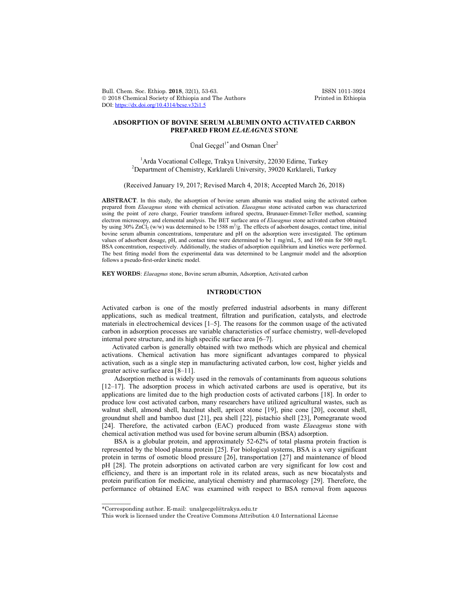Bull. Chem. Soc. Ethiop. 2018, 32(1), 53-63. ISSN 1011-3924<br>
© 2018 Chemical Society of Ethiopia and The Authors Printed in Ethiopia  $© 2018 Chemical Society of Ethiopia and The Authors$ DOI: https://dx.doi.org/10.4314/bcse.v32i1.5

# **ADSORPTION OF BOVINE SERUM ALBUMIN ONTO ACTIVATED CARBON PREPARED FROM** *ELAEAGNUS* **STONE**

Ünal Geçgel<sup>1\*</sup> and Osman Üner<sup>2</sup>

<sup>1</sup>Arda Vocational College, Trakya University, 22030 Edirne, Turkey<sup>2</sup> Department of Chamistry, *Kyrklargli University*, 20020 Kyrklargli Turk Department of Chemistry, Kırklareli University, 39020 Kırklareli, Turkey

(Received January 19, 2017; Revised March 4, 2018; Accepted March 26, 2018)

**ABSTRACT**. In this study, the adsorption of bovine serum albumin was studied using the activated carbon prepared from *Elaeagnus* stone with chemical activation. *Elaeagnus* stone activated carbon was characterized using the point of zero charge, Fourier transform infrared spectra, Brunauer-Emmet-Teller method, scanning electron microscopy, and elemental analysis. The BET surface area of *Elaeagnus* stone activated carbon obtained by using  $30\%$  ZnCl<sub>2</sub> (w/w) was determined to be 1588 m<sup>2</sup>/g. The effects of adsorbent dosages, contact time, initial bovine serum albumin concentrations, temperature and pH on the adsorption were investigated. The optimum values of adsorbent dosage, pH, and contact time were determined to be 1 mg/mL, 5, and 160 min for 500 mg/L BSA concentration, respectively. Additionally, the studies of adsorption equilibrium and kinetics were performed. The best fitting model from the experimental data was determined to be Langmuir model and the adsorption follows a pseudo-first-order kinetic model.

**KEY WORDS**: *Elaeagnus* stone, Bovine serum albumin, Adsorption, Activated carbon

## **INTRODUCTION**

Activated carbon is one of the mostly preferred industrial adsorbents in many different applications, such as medical treatment, filtration and purification, catalysts, and electrode materials in electrochemical devices [1–5]. The reasons for the common usage of the activated carbon in adsorption processes are variable characteristics of surface chemistry, well-developed internal pore structure, and its high specific surface area [6–7].

Activated carbon is generally obtained with two methods which are physical and chemical activations. Chemical activation has more significant advantages compared to physical activation, such as a single step in manufacturing activated carbon, low cost, higher yields and greater active surface area [8–11].

Adsorption method is widely used in the removals of contaminants from aqueous solutions [12–17]. The adsorption process in which activated carbons are used is operative, but its applications are limited due to the high production costs of activated carbons [18]. In order to produce low cost activated carbon, many researchers have utilized agricultural wastes, such as walnut shell, almond shell, hazelnut shell, apricot stone [19], pine cone [20], coconut shell, groundnut shell and bamboo dust [21], pea shell [22], pistachio shell [23], Pomegranate wood [24]. Therefore, the activated carbon (EAC) produced from waste *Elaeagnus* stone with chemical activation method was used for bovine serum albumin (BSA) adsorption.

BSA is a globular protein, and approximately 52-62% of total plasma protein fraction is represented by the blood plasma protein [25]. For biological systems, BSA is a very significant protein in terms of osmotic blood pressure [26], transportation [27] and maintenance of blood pH [28]. The protein adsorptions on activated carbon are very significant for low cost and efficiency, and there is an important role in its related areas, such as new biocatalysts and protein purification for medicine, analytical chemistry and pharmacology [29]. Therefore, the performance of obtained EAC was examined with respect to BSA removal from aqueous

 $\overline{\phantom{a}}$ 

<sup>\*</sup>Corresponding author. E-mail: unalgecgel@trakya.edu.tr

This work is licensed under the Creative Commons Attribution 4.0 International License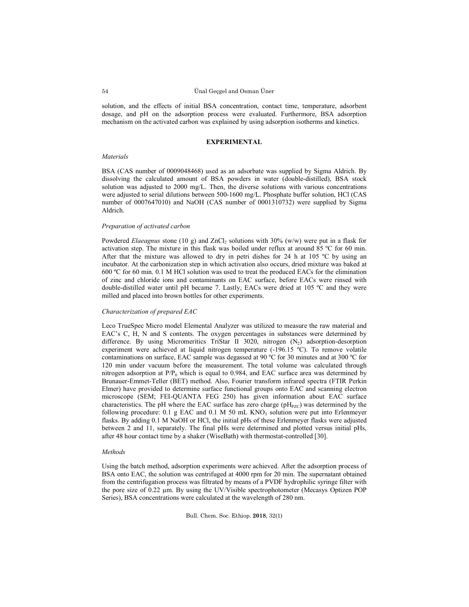solution, and the effects of initial BSA concentration, contact time, temperature, adsorbent dosage, and pH on the adsorption process were evaluated. Furthermore, BSA adsorption mechanism on the activated carbon was explained by using adsorption isotherms and kinetics.

#### **EXPERIMENTAL**

## *Materials*

BSA (CAS number of 0009048468) used as an adsorbate was supplied by Sigma Aldrich. By dissolving the calculated amount of BSA powders in water (double-distilled), BSA stock solution was adjusted to 2000 mg/L. Then, the diverse solutions with various concentrations were adjusted to serial dilutions between 500-1600 mg/L. Phosphate buffer solution, HCl (CAS number of 0007647010) and NaOH (CAS number of 0001310732) were supplied by Sigma Aldrich.

### *Preparation of activated carbon*

Powdered *Elaeagnus* stone (10 g) and ZnCl<sub>2</sub> solutions with 30% (w/w) were put in a flask for activation step. The mixture in this flask was boiled under reflux at around 85 ºC for 60 min. After that the mixture was allowed to dry in petri dishes for 24 h at 105 °C by using an incubator. At the carbonization step in which activation also occurs, dried mixture was baked at 600 ºC for 60 min. 0.1 M HCl solution was used to treat the produced EACs for the elimination of zinc and chloride ions and contaminants on EAC surface, before EACs were rinsed with double-distilled water until pH became 7. Lastly, EACs were dried at 105 ºC and they were milled and placed into brown bottles for other experiments.

## *Characterization of prepared EAC*

Leco TrueSpec Micro model Elemental Analyzer was utilized to measure the raw material and EAC's C, H, N and S contents. The oxygen percentages in substances were determined by difference. By using Micromeritics TriStar II 3020, nitrogen  $(N_2)$  adsorption-desorption experiment were achieved at liquid nitrogen temperature (-196.15 ºC). To remove volatile contaminations on surface, EAC sample was degassed at 90 ºC for 30 minutes and at 300 ºC for 120 min under vacuum before the measurement. The total volume was calculated through nitrogen adsorption at  $P/P_0$  which is equal to 0.984, and EAC surface area was determined by Brunauer-Emmet-Teller (BET) method. Also, Fourier transform infrared spectra (FTIR Perkin Elmer) have provided to determine surface functional groups onto EAC and scanning electron microscope (SEM; FEI-QUANTA FEG 250) has given information about EAC surface characteristics. The pH where the EAC surface has zero charge ( $pH<sub>PZC</sub>$ ) was determined by the following procedure:  $0.1$  g EAC and  $0.1$  M 50 mL KNO<sub>3</sub> solution were put into Erlenmeyer flasks. By adding 0.1 M NaOH or HCl, the initial pHs of these Erlenmeyer flasks were adjusted between 2 and 11, separately. The final pHs were determined and plotted versus initial pHs, after 48 hour contact time by a shaker (WiseBath) with thermostat-controlled [30].

### *Methods*

Using the batch method, adsorption experiments were achieved. After the adsorption process of BSA onto EAC, the solution was centrifuged at 4000 rpm for 20 min. The supernatant obtained from the centrifugation process was filtrated by means of a PVDF hydrophilic syringe filter with the pore size of 0.22 µm. By using the UV/Visible spectrophotometer (Mecasys Optizen POP Series), BSA concentrations were calculated at the wavelength of 280 nm.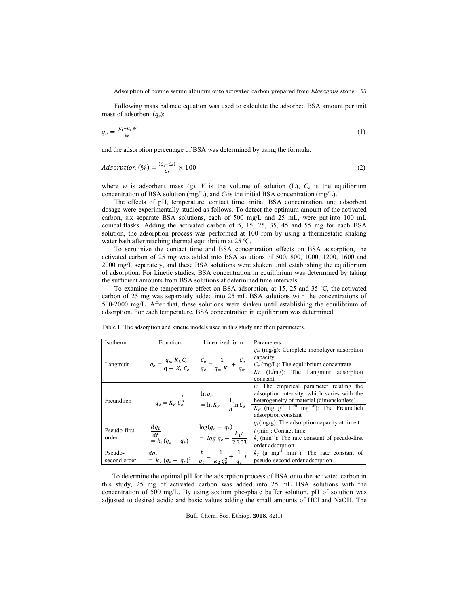Adsorption of bovine serum albumin onto activated carbon prepared from *Elaeagnus* stone 55

Following mass balance equation was used to calculate the adsorbed BSA amount per unit mass of adsorbent (*qe*):

$$
q_e = \frac{(c_i - c_e)v}{w} \tag{1}
$$

and the adsorption percentage of BSA was determined by using the formula:

$$
Adsorption (%) = \frac{(c_i - c_e)}{c_i} \times 100
$$
 (2)

where *w* is adsorbent mass (g), *V* is the volume of solution (L),  $C_e$  is the equilibrium concentration of BSA solution (mg/L), and  $C_i$  is the initial BSA concentration (mg/L).

The effects of pH, temperature, contact time, initial BSA concentration, and adsorbent dosage were experimentally studied as follows. To detect the optimum amount of the activated carbon, six separate BSA solutions, each of 500 mg/L and 25 mL, were put into 100 mL conical flasks. Adding the activated carbon of 5, 15, 25, 35, 45 and 55 mg for each BSA solution, the adsorption process was performed at 100 rpm by using a thermostatic shaking water bath after reaching thermal equilibrium at 25 °C.

To scrutinize the contact time and BSA concentration effects on BSA adsorption, the activated carbon of 25 mg was added into BSA solutions of 500, 800, 1000, 1200, 1600 and 2000 mg/L separately, and these BSA solutions were shaken until establishing the equilibrium of adsorption. For kinetic studies, BSA concentration in equilibrium was determined by taking the sufficient amounts from BSA solutions at determined time intervals.

To examine the temperature effect on BSA adsorption, at 15, 25 and 35 ºC, the activated carbon of 25 mg was separately added into 25 mL BSA solutions with the concentrations of 500-2000 mg/L. After that, these solutions were shaken until establishing the equilibrium of adsorption. For each temperature, BSA concentration in equilibrium was determined.

| Isotherm              | Equation                                                                                                                                          | Linearized form                                         | Parameters                                                                                                                                                                                                                                         |  |  |
|-----------------------|---------------------------------------------------------------------------------------------------------------------------------------------------|---------------------------------------------------------|----------------------------------------------------------------------------------------------------------------------------------------------------------------------------------------------------------------------------------------------------|--|--|
|                       |                                                                                                                                                   |                                                         | $q_m$ (mg/g): Complete monolayer adsorption<br>$q_e = \frac{q_m K_L C_e}{q + K_L C_e}$ $\frac{C_e}{q_e} = \frac{1}{q_m K_L} + \frac{C_e}{q_m}$ $\frac{\frac{capacuy}{C_e (mg/L): The equilibrium concentrate}{K_L (L/mg): The Lapmuir adsorption}$ |  |  |
| Langmuir              |                                                                                                                                                   |                                                         |                                                                                                                                                                                                                                                    |  |  |
|                       |                                                                                                                                                   |                                                         | constant                                                                                                                                                                                                                                           |  |  |
|                       |                                                                                                                                                   |                                                         | $n$ : The empirical parameter relating the                                                                                                                                                                                                         |  |  |
|                       | $q_e = K_F \, {\cal C}^{\frac{1}{n}}_e \qquad \left  \begin{array}{c} \ln q_e \\[1ex] = \ln K_F + \frac{1}{n} \ln {\cal C}_e \end{array} \right $ |                                                         | adsorption intensity, which varies with the                                                                                                                                                                                                        |  |  |
| Freundlich            |                                                                                                                                                   |                                                         | heterogeneity of material (dimensionless)                                                                                                                                                                                                          |  |  |
|                       |                                                                                                                                                   |                                                         | $K_F$ (mg $g^{-1}$ L <sup>1/n</sup> mg <sup>-1/n</sup> ): The Freundlich                                                                                                                                                                           |  |  |
|                       |                                                                                                                                                   |                                                         | adsorption constant                                                                                                                                                                                                                                |  |  |
|                       | $\frac{dq_t}{dt}$ = $k_1(q_e - q_t)$                                                                                                              |                                                         | $q_t$ (mg/g): The adsorption capacity at time t                                                                                                                                                                                                    |  |  |
| Pseudo-first<br>order |                                                                                                                                                   | $\log(q_e - q_t)$<br>= $\log q_e - \frac{k_1 t}{2.303}$ | $t$ (min): Contact time                                                                                                                                                                                                                            |  |  |
|                       |                                                                                                                                                   |                                                         | $k_l$ (min <sup>-1</sup> ): The rate constant of pseudo-first                                                                                                                                                                                      |  |  |
|                       |                                                                                                                                                   |                                                         | order adsorption                                                                                                                                                                                                                                   |  |  |
| Pseudo-               |                                                                                                                                                   |                                                         | $k_2$ (g mg <sup>-1</sup> min <sup>-1</sup> ): The rate constant of                                                                                                                                                                                |  |  |
| second order          | $dq_t$<br>= $k_2 (q_e - q_t)^2$                                                                                                                   | $\frac{1}{q_t} = \frac{1}{k_2 q_e^2} + \frac{1}{q_e} t$ | pseudo-second order adsorption                                                                                                                                                                                                                     |  |  |

Table 1. The adsorption and kinetic models used in this study and their parameters.

To determine the optimal pH for the adsorption process of BSA onto the activated carbon in this study, 25 mg of activated carbon was added into 25 mL BSA solutions with the concentration of 500 mg/L. By using sodium phosphate buffer solution, pH of solution was adjusted to desired acidic and basic values adding the small amounts of HCl and NaOH. The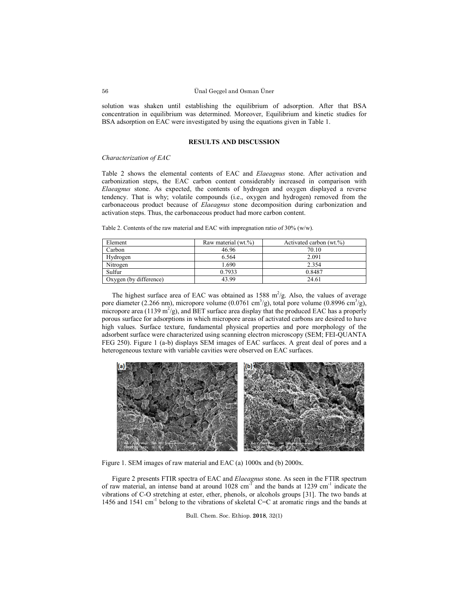solution was shaken until establishing the equilibrium of adsorption. After that BSA concentration in equilibrium was determined. Moreover, Equilibrium and kinetic studies for BSA adsorption on EAC were investigated by using the equations given in Table 1.

## **RESULTS AND DISCUSSION**

### *Characterization of EAC*

Table 2 shows the elemental contents of EAC and *Elaeagnus* stone. After activation and carbonization steps, the EAC carbon content considerably increased in comparison with *Elaeagnus* stone. As expected, the contents of hydrogen and oxygen displayed a reverse tendency. That is why; volatile compounds (i.e., oxygen and hydrogen) removed from the carbonaceous product because of *Elaeagnus* stone decomposition during carbonization and activation steps. Thus, the carbonaceous product had more carbon content.

| Table 2. Contents of the raw material and EAC with impregnation ratio of $30\%$ (w/w). |  |
|----------------------------------------------------------------------------------------|--|
|----------------------------------------------------------------------------------------|--|

| Element                | Raw material (wt.%) | Activated carbon (wt.%) |  |  |
|------------------------|---------------------|-------------------------|--|--|
| Carbon                 | 46.96               | 70.10                   |  |  |
| Hydrogen               | 6.564               | 2.091                   |  |  |
| Nitrogen               | .690                | 2.354                   |  |  |
| Sulfur                 | 0.7933              | 0.8487                  |  |  |
| Oxygen (by difference) | 43.99               | 24.61                   |  |  |

The highest surface area of EAC was obtained as  $1588 \text{ m}^2/\text{g}$ . Also, the values of average pore diameter (2.266 nm), micropore volume (0.0761 cm<sup>3</sup>/g), total pore volume (0.8996 cm<sup>3</sup>/g), micropore area (1139 m<sup>2</sup>/g), and BET surface area display that the produced EAC has a properly porous surface for adsorptions in which micropore areas of activated carbons are desired to have high values. Surface texture, fundamental physical properties and pore morphology of the adsorbent surface were characterized using scanning electron microscopy (SEM; FEI-QUANTA FEG 250). Figure 1 (a-b) displays SEM images of EAC surfaces. A great deal of pores and a heterogeneous texture with variable cavities were observed on EAC surfaces.



Figure 1. SEM images of raw material and EAC (a) 1000x and (b) 2000x.

Figure 2 presents FTIR spectra of EAC and *Elaeagnus* stone. As seen in the FTIR spectrum of raw material, an intense band at around  $1028 \text{ cm}^{-1}$  and the bands at 1239 cm<sup>-1</sup> indicate the vibrations of C-O stretching at ester, ether, phenols, or alcohols groups [31]. The two bands at 1456 and 1541 cm<sup>-1</sup> belong to the vibrations of skeletal C=C at aromatic rings and the bands at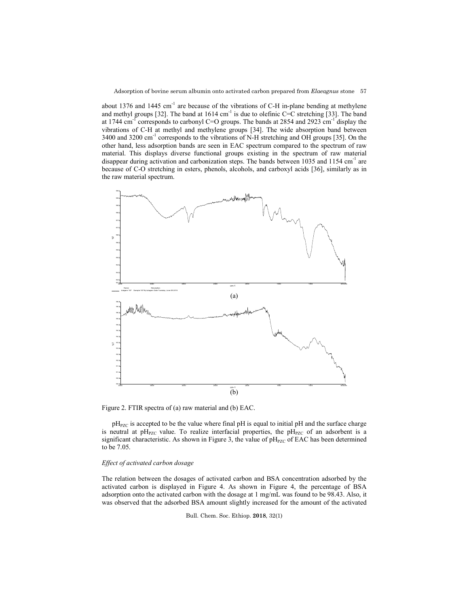about 1376 and 1445 cm<sup>-1</sup> are because of the vibrations of C-H in-plane bending at methylene and methyl groups [32]. The band at  $1614 \text{ cm}^{-1}$  is due to olefinic C=C stretching [33]. The band at 1744 cm<sup>-1</sup> corresponds to carbonyl C=O groups. The bands at 2854 and 2923 cm<sup>-1</sup> display the vibrations of C-H at methyl and methylene groups [34]. The wide absorption band between 3400 and 3200 cm<sup>-1</sup> corresponds to the vibrations of N-H stretching and OH groups [35]. On the other hand, less adsorption bands are seen in EAC spectrum compared to the spectrum of raw material. This displays diverse functional groups existing in the spectrum of raw material disappear during activation and carbonization steps. The bands between 1035 and 1154  $cm<sup>-1</sup>$  are because of C-O stretching in esters, phenols, alcohols, and carboxyl acids [36], similarly as in the raw material spectrum.



Figure 2. FTIR spectra of (a) raw material and (b) EAC.

 $pH<sub>PZC</sub>$  is accepted to be the value where final  $pH$  is equal to initial  $pH$  and the surface charge is neutral at  $pH_{PZC}$  value. To realize interfacial properties, the  $pH_{PZC}$  of an adsorbent is a significant characteristic. As shown in Figure 3, the value of  $pH<sub>PZC</sub>$  of EAC has been determined to be 7.05.

## *Effect of activated carbon dosage*

The relation between the dosages of activated carbon and BSA concentration adsorbed by the activated carbon is displayed in Figure 4. As shown in Figure 4, the percentage of BSA adsorption onto the activated carbon with the dosage at 1 mg/mL was found to be 98.43. Also, it was observed that the adsorbed BSA amount slightly increased for the amount of the activated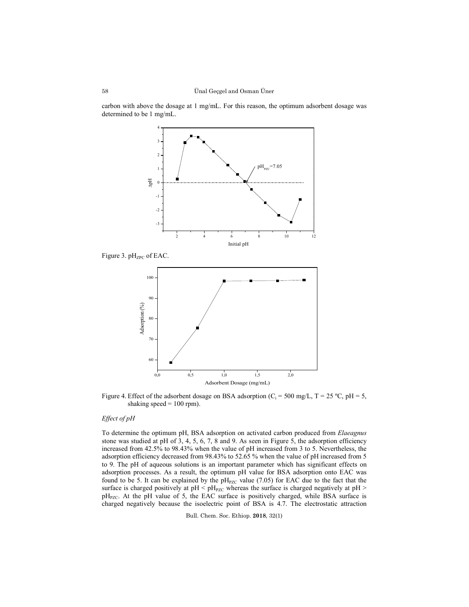carbon with above the dosage at 1 mg/mL. For this reason, the optimum adsorbent dosage was determined to be 1 mg/mL.



Figure 3. pH<sub>ZPC</sub> of EAC.



Figure 4. Effect of the adsorbent dosage on BSA adsorption ( $C_i$  = 500 mg/L, T = 25 °C, pH = 5, shaking speed  $= 100$  rpm).

# *Effect of pH*

To determine the optimum pH, BSA adsorption on activated carbon produced from *Elaeagnus* stone was studied at pH of  $3, 4, 5, 6, 7, 8$  and  $9$ . As seen in Figure 5, the adsorption efficiency increased from 42.5% to 98.43% when the value of pH increased from 3 to 5. Nevertheless, the adsorption efficiency decreased from 98.43% to 52.65 % when the value of pH increased from 5 to 9. The pH of aqueous solutions is an important parameter which has significant effects on adsorption processes. As a result, the optimum pH value for BSA adsorption onto EAC was found to be 5. It can be explained by the  $pH_{PZC}$  value (7.05) for EAC due to the fact that the surface is charged positively at  $pH < pH_{PZC}$  whereas the surface is charged negatively at  $pH >$ pH<sub>PZC</sub>. At the pH value of 5, the EAC surface is positively charged, while BSA surface is charged negatively because the isoelectric point of BSA is 4.7. The electrostatic attraction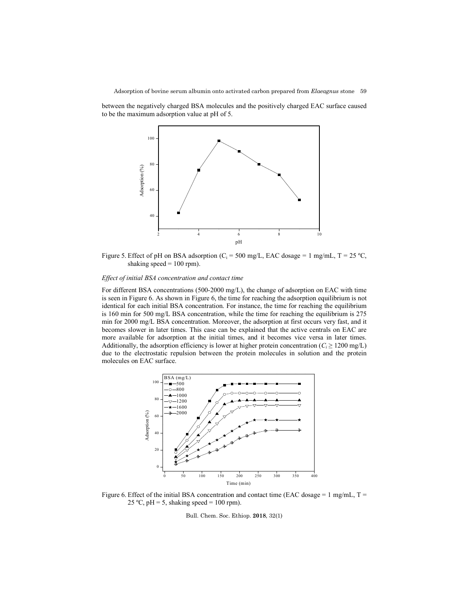between the negatively charged BSA molecules and the positively charged EAC surface caused to be the maximum adsorption value at pH of 5.



Figure 5. Effect of pH on BSA adsorption ( $C_i$  = 500 mg/L, EAC dosage = 1 mg/mL, T = 25 °C, shaking speed  $= 100$  rpm).

# *Effect of initial BSA concentration and contact time*

For different BSA concentrations (500-2000 mg/L), the change of adsorption on EAC with time is seen in Figure 6. As shown in Figure 6, the time for reaching the adsorption equilibrium is not identical for each initial BSA concentration. For instance, the time for reaching the equilibrium is 160 min for 500 mg/L BSA concentration, while the time for reaching the equilibrium is 275 min for 2000 mg/L BSA concentration. Moreover, the adsorption at first occurs very fast, and it becomes slower in later times. This case can be explained that the active centrals on EAC are more available for adsorption at the initial times, and it becomes vice versa in later times. Additionally, the adsorption efficiency is lower at higher protein concentration ( $C_i \ge 1200$  mg/L) due to the electrostatic repulsion between the protein molecules in solution and the protein molecules on EAC surface.



Figure 6. Effect of the initial BSA concentration and contact time (EAC dosage = 1 mg/mL,  $T =$ 25 °C, pH = 5, shaking speed = 100 rpm).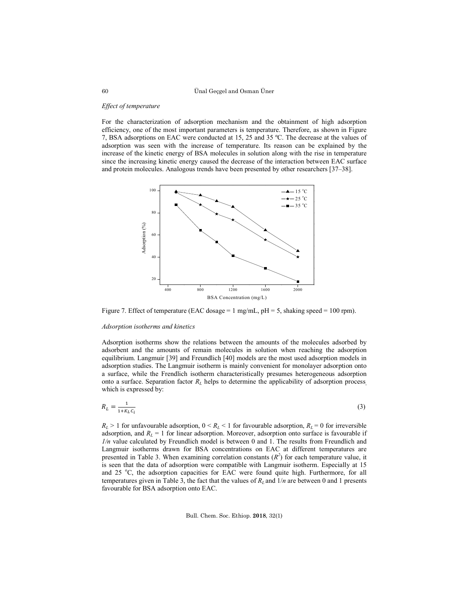### Ünal Geçgel and Osman Üner

#### *Effect of temperature*

For the characterization of adsorption mechanism and the obtainment of high adsorption efficiency, one of the most important parameters is temperature. Therefore, as shown in Figure 7, BSA adsorptions on EAC were conducted at 15, 25 and 35 ºC. The decrease at the values of adsorption was seen with the increase of temperature. Its reason can be explained by the increase of the kinetic energy of BSA molecules in solution along with the rise in temperature since the increasing kinetic energy caused the decrease of the interaction between EAC surface and protein molecules. Analogous trends have been presented by other researchers [37–38].



Figure 7. Effect of temperature (EAC dosage = 1 mg/mL,  $pH = 5$ , shaking speed = 100 rpm).

#### *Adsorption isotherms and kinetics*

Adsorption isotherms show the relations between the amounts of the molecules adsorbed by adsorbent and the amounts of remain molecules in solution when reaching the adsorption equilibrium. Langmuir [39] and Freundlich [40] models are the most used adsorption models in adsorption studies. The Langmuir isotherm is mainly convenient for monolayer adsorption onto a surface, while the Frendlich isotherm characteristically presumes heterogeneous adsorption onto a surface. Separation factor *RL* helps to determine the applicability of adsorption process, which is expressed by:

$$
R_L = \frac{1}{1 + K_L c_i} \tag{3}
$$

 $R_L > 1$  for unfavourable adsorption,  $0 \le R_L \le 1$  for favourable adsorption,  $R_L = 0$  for irreversible adsorption, and  $R_L = 1$  for linear adsorption. Moreover, adsorption onto surface is favourable if *1/n* value calculated by Freundlich model is between 0 and 1. The results from Freundlich and Langmuir isotherms drawn for BSA concentrations on EAC at different temperatures are presented in Table 3. When examining correlation constants  $(R^2)$  for each temperature value, it is seen that the data of adsorption were compatible with Langmuir isotherm. Especially at 15 and 25 °C, the adsorption capacities for EAC were found quite high. Furthermore, for all temperatures given in Table 3, the fact that the values of  $R<sub>L</sub>$  and  $1/n$  are between 0 and 1 presents favourable for BSA adsorption onto EAC.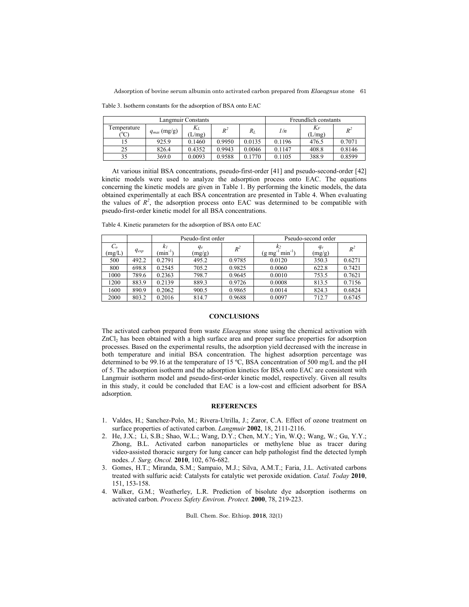Adsorption of bovine serum albumin onto activated carbon prepared from *Elaeagnus* stone 61

Table 3. Isotherm constants for the adsorption of BSA onto EAC

| Langmuir Constants            |                  |               |        |        | Freundlich constants |                 |        |
|-------------------------------|------------------|---------------|--------|--------|----------------------|-----------------|--------|
| emperature<br>$\rm ^{o}\rm C$ | $q_{max}$ (mg/g) | Kı.<br>(L/mg) | $R^2$  | $R_L$  | 1/n                  | $K_F$<br>(L/mg) | $R^2$  |
|                               | 925.9            | 0.1460        | 0.9950 | 0.0135 | 0.1196               | 476.5           | 0.7071 |
| 25                            | 826.4            | 0.4352        | 0.9943 | 0.0046 | 0.1147               | 408.8           | 0.8146 |
| 35                            | 369.0            | 0.0093        | 0.9588 | 0.1770 | 0.1105               | 388.9           | 0.8599 |

At various initial BSA concentrations, pseudo-first-order [41] and pseudo-second-order [42] kinetic models were used to analyze the adsorption process onto EAC. The equations concerning the kinetic models are given in Table 1. By performing the kinetic models, the data obtained experimentally at each BSA concentration are presented in Table 4. When evaluating the values of  $R^2$ , the adsorption process onto EAC was determined to be compatible with pseudo-first-order kinetic model for all BSA concentrations.

| Table 4. Kinetic parameters for the adsorption of BSA onto EAC |  |  |  |  |  |
|----------------------------------------------------------------|--|--|--|--|--|
|----------------------------------------------------------------|--|--|--|--|--|

|                 |           |                                 | Pseudo-first order |        | Pseudo-second order         |                 |        |  |
|-----------------|-----------|---------------------------------|--------------------|--------|-----------------------------|-----------------|--------|--|
| $C_o$<br>(mg/L) | $q_{exp}$ | k <sub>l</sub><br>$(\min^{-1})$ | $q_e$<br>(mg/g)    | $R^2$  | $min^{-1}$ )<br>$(g \, mg)$ | $q_e$<br>(mg/g) | $R^2$  |  |
| 500             | 492.2     | 0.2791                          | 495.2              | 0.9785 | 0.0120                      | 350.3           | 0.6271 |  |
| 800             | 698.8     | 0.2545                          | 705.2              | 0.9825 | 0.0060                      | 622.8           | 0.7421 |  |
| 1000            | 789.6     | 0.2363                          | 798.7              | 0.9645 | 0.0010                      | 753.5           | 0.7621 |  |
| 1200            | 883.9     | 0.2139                          | 889.3              | 0.9726 | 0.0008                      | 813.5           | 0.7156 |  |
| 1600            | 890.9     | 0.2062                          | 900.5              | 0.9865 | 0.0014                      | 824.3           | 0.6824 |  |
| 2000            | 803.2     | 0.2016                          | 814.7              | 0.9688 | 0.0097                      | 712.7           | 0.6745 |  |

# **CONCLUSIONS**

The activated carbon prepared from waste *Elaeagnus* stone using the chemical activation with ZnCl<sub>2</sub> has been obtained with a high surface area and proper surface properties for adsorption processes. Based on the experimental results, the adsorption yield decreased with the increase in both temperature and initial BSA concentration. The highest adsorption percentage was determined to be 99.16 at the temperature of 15 ºC, BSA concentration of 500 mg/L and the pH of 5. The adsorption isotherm and the adsorption kinetics for BSA onto EAC are consistent with Langmuir isotherm model and pseudo-first-order kinetic model, respectively. Given all results in this study, it could be concluded that EAC is a low-cost and efficient adsorbent for BSA adsorption.

#### **REFERENCES**

- 1. Valdes, H.; Sanchez-Polo, M.; Rivera-Utrilla, J.; Zaror, C.A. Effect of ozone treatment on surface properties of activated carbon. *Langmuir* **2002**, 18, 2111-2116.
- 2. He, J.X.; Li, S.B.; Shao, W.L.; Wang, D.Y.; Chen, M.Y.; Yin, W.Q.; Wang, W.; Gu, Y.Y.; Zhong, B.L. Activated carbon nanoparticles or methylene blue as tracer during video‐assisted thoracic surgery for lung cancer can help pathologist find the detected lymph nodes. *J. Surg. Oncol.* **2010**, 102, 676-682.
- 3. Gomes, H.T.; Miranda, S.M.; Sampaio, M.J.; Silva, A.M.T.; Faria, J.L. Activated carbons treated with sulfuric acid: Catalysts for catalytic wet peroxide oxidation. *Catal. Today* **2010**, 151, 153-158.
- 4. Walker, G.M.; Weatherley, L.R. Prediction of bisolute dye adsorption isotherms on activated carbon. *Process Safety Environ. Protect.* **2000**, 78, 219-223.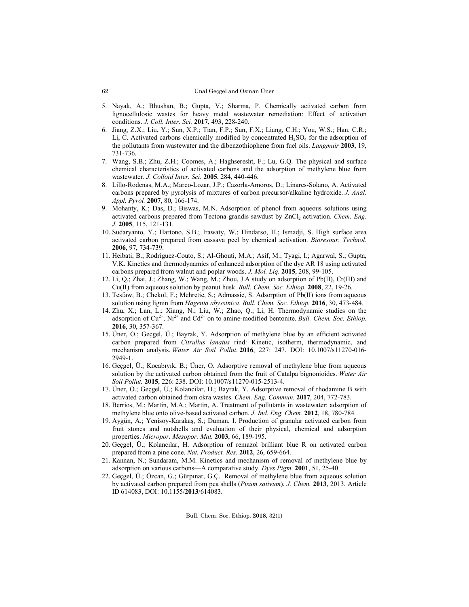#### Ünal Geçgel and Osman Üner

- 5. Nayak, A.; Bhushan, B.; Gupta, V.; Sharma, P. Chemically activated carbon from lignocellulosic wastes for heavy metal wastewater remediation: Effect of activation conditions. *J. Coll. Inter. Sci.* **2017**, 493, 228-240.
- 6. Jiang, Z.X.; Liu, Y.; Sun, X.P.; Tian, F.P.; Sun, F.X.; Liang, C.H.; You, W.S.; Han, C.R.; Li, C. Activated carbons chemically modified by concentrated  $H_2SO_4$  for the adsorption of the pollutants from wastewater and the dibenzothiophene from fuel oils. *Langmuir* **2003**, 19, 731-736.
- 7. Wang, S.B.; Zhu, Z.H.; Coomes, A.; Haghseresht, F.; Lu, G.Q. The physical and surface chemical characteristics of activated carbons and the adsorption of methylene blue from wastewater. *J. Colloid Inter. Sci.* **2005**, 284, 440-446.
- 8. Lillo-Rodenas, M.A.; Marco-Lozar, J.P.; Cazorla-Amoros, D.; Linares-Solano, A. Activated carbons prepared by pyrolysis of mixtures of carbon precursor/alkaline hydroxide. *J. Anal. Appl. Pyrol.* **2007**, 80, 166-174.
- 9. Mohanty, K.; Das, D.; Biswas, M.N. Adsorption of phenol from aqueous solutions using activated carbons prepared from Tectona grandis sawdust by ZnCl<sub>2</sub> activation. *Chem. Eng. J.* **2005**, 115, 121-131.
- 10. Sudaryanto, Y.; Hartono, S.B.; Irawaty, W.; Hindarso, H.; Ismadji, S. High surface area activated carbon prepared from cassava peel by chemical activation. *Bioresour. Technol.* **2006**, 97, 734-739.
- 11. Heibati, B.; Rodriguez-Couto, S.; Al-Ghouti, M.A.; Asif, M.; Tyagi, I.; Agarwal, S.; Gupta, V.K. Kinetics and thermodynamics of enhanced adsorption of the dye AR 18 using activated carbons prepared from walnut and poplar woods. *J. Mol. Liq.* **2015**, 208, 99-105.
- 12. Li, Q.; Zhai, J.; Zhang, W.; Wang, M.; Zhou, J.A study on adsorption of Pb(II), Cr(Ш) and Cu(II) from aqueous solution by peanut husk. *Bull. Chem. Soc. Ethiop.* **2008**, 22, 19-26.
- 13. Tesfaw, B.; Chekol, F.; Mehretie, S.; Admassie, S. Adsorption of Pb(II) ions from aqueous solution using lignin from *Hagenia abyssinica*. *Bull. Chem. Soc. Ethiop.* **2016**, 30, 473-484.
- 14. Zhu, X.; Lan, L.; Xiang, N.; Liu, W.; Zhao, Q.; Li, H. Thermodynamic studies on the adsorption of  $Cu^{2+}$ , Ni<sup>2+</sup> and  $Cd^{2+}$  on to amine-modified bentonite. *Bull. Chem. Soc. Ethiop.* **2016**, 30, 357-367.
- 15. Üner, O.; Geçgel, Ü.; Bayrak, Y. Adsorption of methylene blue by an efficient activated carbon prepared from *Citrullus lanatus* rind: Kinetic, isotherm, thermodynamic, and mechanism analysis. *Water Air Soil Pollut.* **2016**, 227: 247. DOI: 10.1007/s11270-016- 2949-1.
- 16. Geçgel, Ü.; Kocabıyık, B.; Üner, O. Adsorptive removal of methylene blue from aqueous solution by the activated carbon obtained from the fruit of Catalpa bignonioides. *Water Air Soil Pollut.* **2015**, 226: 238. DOI: 10.1007/s11270-015-2513-4.
- 17. Üner, O.; Geçgel, Ü.; Kolancilar, H.; Bayrak, Y. Adsorptive removal of rhodamine B with activated carbon obtained from okra wastes. *Chem. Eng. Commun.* **2017**, 204, 772-783.
- 18. Berrios, M.; Martin, M.A.; Martin, A. Treatment of pollutants in wastewater: adsorption of methylene blue onto olive-based activated carbon. *J. Ind. Eng. Chem.* **2012**, 18, 780-784.
- 19. Aygün, A.; Yenisoy-Karakaş, S.; Duman, I. Production of granular activated carbon from fruit stones and nutshells and evaluation of their physical, chemical and adsorption properties. *Micropor. Mesopor. Mat.* **2003**, 66, 189-195.
- 20. Geçgel, Ü.; Kolancılar, H. Adsorption of remazol brilliant blue R on activated carbon prepared from a pine cone. *Nat. Product. Res.* **2012**, 26, 659-664.
- 21. Kannan, N.; Sundaram, M.M. Kinetics and mechanism of removal of methylene blue by adsorption on various carbons—A comparative study. *Dyes Pigm.* **2001**, 51, 25-40.
- 22. Geçgel, Ü.; Özcan, G.; Gürpınar, G.Ç. Removal of methylene blue from aqueous solution by activated carbon prepared from pea shells (*Pisum sativum*). *J. Chem.* **2013**, 2013, Article ID 614083, DOI: 10.1155/**2013**/614083.

62